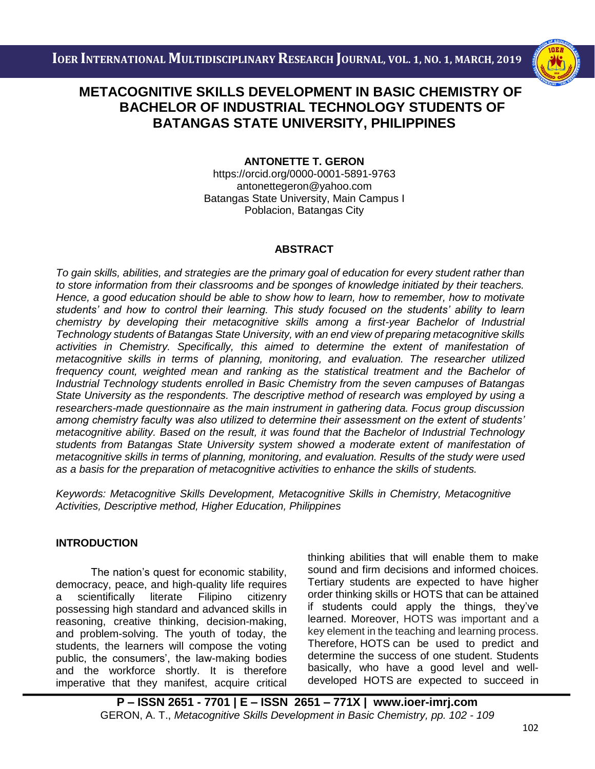

# i<br>I  **BACHELOR OF INDUSTRIAL TECHNOLOGY STUDENTS OF METACOGNITIVE SKILLS DEVELOPMENT IN BASIC CHEMISTRY OF BATANGAS STATE UNIVERSITY, PHILIPPINES**

# **ANTONETTE T. GERON**

<https://orcid.org/0000-0001-5891-9763> antonettegeron@yahoo.com Batangas State University, Main Campus I Poblacion, Batangas City

### **ABSTRACT**

*To gain skills, abilities, and strategies are the primary goal of education for every student rather than to store information from their classrooms and be sponges of knowledge initiated by their teachers. Hence, a good education should be able to show how to learn, how to remember, how to motivate students' and how to control their learning. This study focused on the students' ability to learn chemistry by developing their metacognitive skills among a first-year Bachelor of Industrial Technology students of Batangas State University, with an end view of preparing metacognitive skills*  activities in Chemistry. Specifically, this aimed to determine the extent of manifestation of *metacognitive skills in terms of planning, monitoring, and evaluation. The researcher utilized frequency count, weighted mean and ranking as the statistical treatment and the Bachelor of Industrial Technology students enrolled in Basic Chemistry from the seven campuses of Batangas State University as the respondents. The descriptive method of research was employed by using a researchers-made questionnaire as the main instrument in gathering data. Focus group discussion among chemistry faculty was also utilized to determine their assessment on the extent of students' metacognitive ability. Based on the result, it was found that the Bachelor of Industrial Technology students from Batangas State University system showed a moderate extent of manifestation of metacognitive skills in terms of planning, monitoring, and evaluation. Results of the study were used as a basis for the preparation of metacognitive activities to enhance the skills of students.*

*Keywords: Metacognitive Skills Development, Metacognitive Skills in Chemistry, Metacognitive Activities, Descriptive method, Higher Education, Philippines*

## **INTRODUCTION**

The nation's quest for economic stability, democracy, peace, and high-quality life requires a scientifically literate Filipino citizenry possessing high standard and advanced skills in reasoning, creative thinking, decision-making, and problem-solving. The youth of today, the students, the learners will compose the voting public, the consumers', the law-making bodies and the workforce shortly. It is therefore imperative that they manifest, acquire critical thinking abilities that will enable them to make sound and firm decisions and informed choices. Tertiary students are expected to have higher order thinking skills or HOTS that can be attained if students could apply the things, they've learned. Moreover, HOTS was important and a key element in the teaching and learning process. Therefore, HOTS can be used to predict and determine the success of one student. Students basically, who have a good level and welldeveloped HOTS are expected to succeed in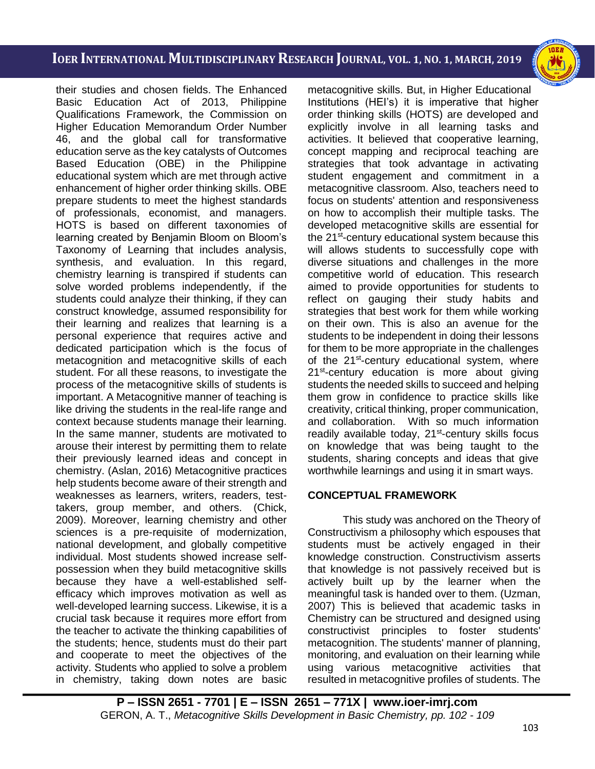i<br>I



their studies and chosen fields. The Enhanced Basic Education Act of 2013, Philippine Qualifications Framework, the Commission on Higher Education Memorandum Order Number 46, and the global call for transformative education serve as the key catalysts of Outcomes Based Education (OBE) in the Philippine educational system which are met through active enhancement of higher order thinking skills. OBE prepare students to meet the highest standards of professionals, economist, and managers. HOTS is based on different taxonomies of learning created by Benjamin Bloom on Bloom's Taxonomy of Learning that includes analysis, synthesis, and evaluation. In this regard, chemistry learning is transpired if students can solve worded problems independently, if the students could analyze their thinking, if they can construct knowledge, assumed responsibility for their learning and realizes that learning is a personal experience that requires active and dedicated participation which is the focus of metacognition and metacognitive skills of each student. For all these reasons, to investigate the process of the metacognitive skills of students is important. A Metacognitive manner of teaching is like driving the students in the real-life range and context because students manage their learning. In the same manner, students are motivated to arouse their interest by permitting them to relate their previously learned ideas and concept in chemistry. (Aslan, 2016) Metacognitive practices help students become aware of their strength and weaknesses as learners, writers, readers, testtakers, group member, and others. (Chick, 2009). Moreover, learning chemistry and other sciences is a pre-requisite of modernization, national development, and globally competitive individual. Most students showed increase selfpossession when they build metacognitive skills because they have a well-established selfefficacy which improves motivation as well as well-developed learning success. Likewise, it is a crucial task because it requires more effort from the teacher to activate the thinking capabilities of the students; hence, students must do their part and cooperate to meet the objectives of the activity. Students who applied to solve a problem in chemistry, taking down notes are basic metacognitive skills. But, in Higher Educational Institutions (HEI's) it is imperative that higher order thinking skills (HOTS) are developed and explicitly involve in all learning tasks and activities. It believed that cooperative learning, concept mapping and reciprocal teaching are strategies that took advantage in activating student engagement and commitment in a metacognitive classroom. Also, teachers need to focus on students' attention and responsiveness on how to accomplish their multiple tasks. The developed metacognitive skills are essential for the 21<sup>st</sup>-century educational system because this will allows students to successfully cope with diverse situations and challenges in the more competitive world of education. This research aimed to provide opportunities for students to reflect on gauging their study habits and strategies that best work for them while working on their own. This is also an avenue for the students to be independent in doing their lessons for them to be more appropriate in the challenges of the 21<sup>st</sup>-century educational system, where 21<sup>st</sup>-century education is more about giving students the needed skills to succeed and helping them grow in confidence to practice skills like creativity, critical thinking, proper communication, and collaboration. With so much information readily available today, 21<sup>st</sup>-century skills focus on knowledge that was being taught to the students, sharing concepts and ideas that give worthwhile learnings and using it in smart ways.

## **CONCEPTUAL FRAMEWORK**

This study was anchored on the Theory of Constructivism a philosophy which espouses that students must be actively engaged in their knowledge construction. Constructivism asserts that knowledge is not passively received but is actively built up by the learner when the meaningful task is handed over to them. (Uzman, 2007) This is believed that academic tasks in Chemistry can be structured and designed using constructivist principles to foster students' metacognition. The students' manner of planning, monitoring, and evaluation on their learning while using various metacognitive activities that resulted in metacognitive profiles of students. The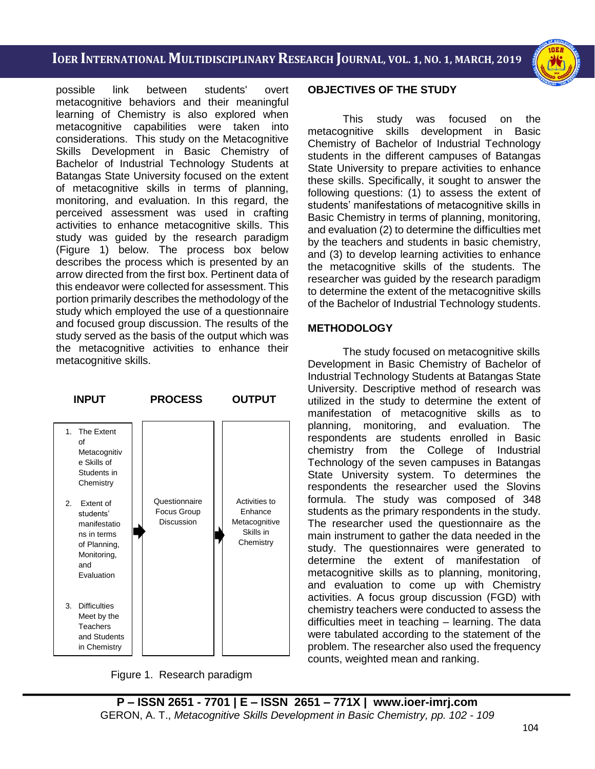i<br>I

possible link between students' overt metacognitive behaviors and their meaningful learning of Chemistry is also explored when metacognitive capabilities were taken into considerations. This study on the Metacognitive Skills Development in Basic Chemistry of Bachelor of Industrial Technology Students at Batangas State University focused on the extent of metacognitive skills in terms of planning, monitoring, and evaluation. In this regard, the perceived assessment was used in crafting activities to enhance metacognitive skills. This study was guided by the research paradigm (Figure 1) below. The process box below describes the process which is presented by an arrow directed from the first box. Pertinent data of this endeavor were collected for assessment. This portion primarily describes the methodology of the study which employed the use of a questionnaire and focused group discussion. The results of the study served as the basis of the output which was the metacognitive activities to enhance their metacognitive skills.



Figure 1. Research paradigm

#### **OBJECTIVES OF THE STUDY**

This study was focused on the metacognitive skills development in Basic Chemistry of Bachelor of Industrial Technology students in the different campuses of Batangas State University to prepare activities to enhance these skills. Specifically, it sought to answer the following questions: (1) to assess the extent of students' manifestations of metacognitive skills in Basic Chemistry in terms of planning, monitoring, and evaluation (2) to determine the difficulties met by the teachers and students in basic chemistry, and (3) to develop learning activities to enhance the metacognitive skills of the students. The researcher was guided by the research paradigm to determine the extent of the metacognitive skills of the Bachelor of Industrial Technology students.

### **METHODOLOGY**

The study focused on metacognitive skills Development in Basic Chemistry of Bachelor of Industrial Technology Students at Batangas State University. Descriptive method of research was utilized in the study to determine the extent of manifestation of metacognitive skills as to planning, monitoring, and evaluation. The respondents are students enrolled in Basic chemistry from the College of Industrial Technology of the seven campuses in Batangas State University system. To determines the respondents the researcher used the Slovins formula. The study was composed of 348 students as the primary respondents in the study. The researcher used the questionnaire as the main instrument to gather the data needed in the study. The questionnaires were generated to determine the extent of manifestation of metacognitive skills as to planning, monitoring, and evaluation to come up with Chemistry activities. A focus group discussion (FGD) with chemistry teachers were conducted to assess the difficulties meet in teaching – learning. The data were tabulated according to the statement of the problem. The researcher also used the frequency counts, weighted mean and ranking.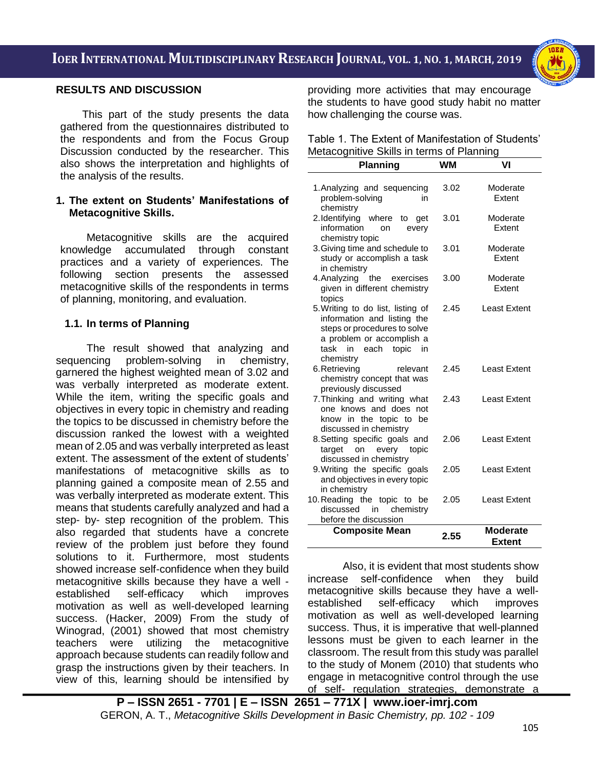i<br>I



### **RESULTS AND DISCUSSION**

This part of the study presents the data gathered from the questionnaires distributed to the respondents and from the Focus Group Discussion conducted by the researcher. This also shows the interpretation and highlights of the analysis of the results.

#### **1. The extent on Students' Manifestations of Metacognitive Skills.**

Metacognitive skills are the acquired knowledge accumulated through constant practices and a variety of experiences. The following section presents the assessed metacognitive skills of the respondents in terms of planning, monitoring, and evaluation.

### **1.1. In terms of Planning**

The result showed that analyzing and sequencing problem-solving in chemistry, garnered the highest weighted mean of 3.02 and was verbally interpreted as moderate extent. While the item, writing the specific goals and objectives in every topic in chemistry and reading the topics to be discussed in chemistry before the discussion ranked the lowest with a weighted mean of 2.05 and was verbally interpreted as least extent. The assessment of the extent of students' manifestations of metacognitive skills as to planning gained a composite mean of 2.55 and was verbally interpreted as moderate extent. This means that students carefully analyzed and had a step- by- step recognition of the problem. This also regarded that students have a concrete review of the problem just before they found solutions to it. Furthermore, most students showed increase self-confidence when they build metacognitive skills because they have a well established self-efficacy which improves motivation as well as well-developed learning success. (Hacker, 2009) From the study of Winograd, (2001) showed that most chemistry teachers were utilizing the metacognitive approach because students can readily follow and grasp the instructions given by their teachers. In view of this, learning should be intensified by providing more activities that may encourage the students to have good study habit no matter how challenging the course was.

Table 1. The Extent of Manifestation of Students' Metacognitive Skills in terms of Planning

| <b>Planning</b>                                                                                                                                                              | WМ   | VI                               |
|------------------------------------------------------------------------------------------------------------------------------------------------------------------------------|------|----------------------------------|
| 1. Analyzing and sequencing<br>problem-solving<br>in<br>chemistry                                                                                                            | 3.02 | Moderate<br>Extent               |
| 2.Identifying where<br>to<br>get<br>information<br>on<br>every<br>chemistry topic                                                                                            | 3.01 | Moderate<br>Extent               |
| 3. Giving time and schedule to<br>study or accomplish a task<br>in chemistry                                                                                                 | 3.01 | Moderate<br>Extent               |
| 4. Analyzing the<br>exercises<br>given in different chemistry<br>topics                                                                                                      | 3.00 | Moderate<br>Extent               |
| 5. Writing to do list, listing of<br>information and listing the<br>steps or procedures to solve<br>a problem or accomplish a<br>task in<br>each topic<br>in in<br>chemistry | 2.45 | <b>Least Extent</b>              |
| 6.Retrieving<br>relevant<br>chemistry concept that was<br>previously discussed                                                                                               | 2.45 | Least Extent                     |
| 7. Thinking and writing what<br>one knows and does not<br>know in the topic to<br>be<br>discussed in chemistry                                                               | 2.43 | <b>Least Extent</b>              |
| 8. Setting specific goals and<br>target<br>on<br>every<br>topic<br>discussed in chemistry                                                                                    | 2.06 | <b>Least Extent</b>              |
| 9. Writing the specific goals<br>and objectives in every topic<br>in chemistry                                                                                               | 2.05 | <b>Least Extent</b>              |
| 10. Reading the topic to be<br>chemistry<br>discussed<br>in<br>before the discussion                                                                                         | 2.05 | <b>Least Extent</b>              |
| <b>Composite Mean</b>                                                                                                                                                        | 2.55 | <b>Moderate</b><br><b>Extent</b> |

Also, it is evident that most students show increase self-confidence when they build metacognitive skills because they have a wellestablished self-efficacy which improves motivation as well as well-developed learning success. Thus, it is imperative that well-planned lessons must be given to each learner in the classroom. The result from this study was parallel to the study of Monem (2010) that students who engage in metacognitive control through the use of self- regulation strategies, demonstrate a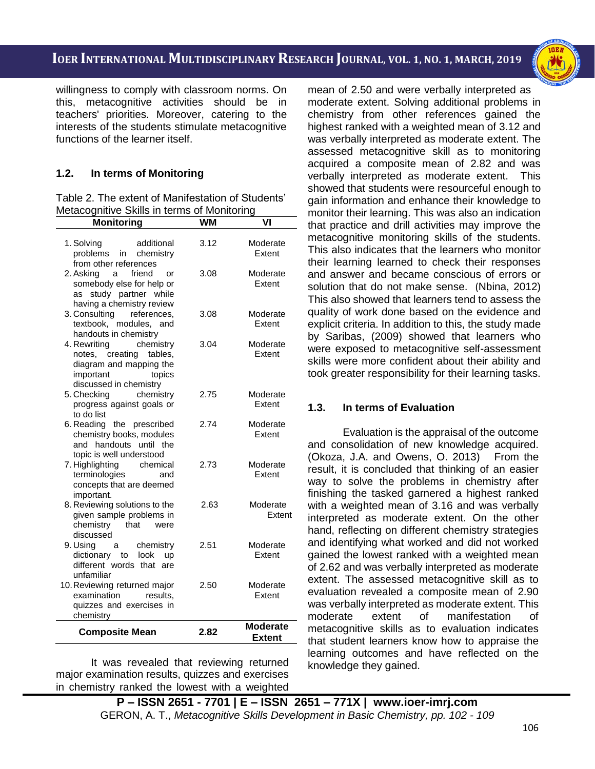i<br>I

willingness to comply with classroom norms. On this, metacognitive activities should be in teachers' priorities. Moreover, catering to the interests of the students stimulate metacognitive functions of the learner itself.

# **1.2. In terms of Monitoring**

Table 2. The extent of Manifestation of Students' Metacognitive Skills in terms of Monitoring

| <b>Monitoring</b>                                                                                                                      | <b>WM</b> | V١                               |
|----------------------------------------------------------------------------------------------------------------------------------------|-----------|----------------------------------|
| 1. Solving<br>additional<br>problems in chemistry<br>from other references                                                             | 3.12      | Moderate<br>Extent               |
| 2. Asking<br>friend<br>a<br>or<br>somebody else for help or<br>study partner while<br>as<br>having a chemistry review                  | 3.08      | Moderate<br>Extent               |
| 3. Consulting references,<br>textbook, modules, and<br>handouts in chemistry                                                           | 3.08      | Moderate<br>Extent               |
| chemistry<br>4. Rewriting<br>creating<br>tables,<br>notes,<br>diagram and mapping the<br>important<br>topics<br>discussed in chemistry | 3.04      | Moderate<br>Extent               |
| chemistry<br>5. Checking<br>progress against goals or<br>to do list                                                                    | 2.75      | Moderate<br>Extent               |
| 6. Reading<br>the prescribed<br>chemistry books, modules<br>and handouts until the<br>topic is well understood                         | 2.74      | Moderate<br>Extent               |
| 7. Highlighting<br>chemical<br>terminologies<br>and<br>concepts that are deemed<br>important.                                          | 2.73      | Moderate<br>Extent               |
| 8. Reviewing solutions to the<br>given sample problems in<br>chemistry<br>that<br>were<br>discussed                                    | 2.63      | Moderate<br>Extent               |
| 9. Using<br>chemistry<br>a a<br>dictionary to look<br><b>up</b><br>different words that<br>are<br>unfamiliar                           | 2.51      | Moderate<br>Extent               |
| 10. Reviewing returned major<br>examination<br>results.<br>quizzes and exercises in<br>chemistry                                       | 2.50      | Moderate<br>Extent               |
| <b>Composite Mean</b>                                                                                                                  | 2.82      | <b>Moderate</b><br><b>Extent</b> |

It was revealed that reviewing returned major examination results, quizzes and exercises in chemistry ranked the lowest with a weighted mean of 2.50 and were verbally interpreted as moderate extent. Solving additional problems in chemistry from other references gained the highest ranked with a weighted mean of 3.12 and was verbally interpreted as moderate extent. The assessed metacognitive skill as to monitoring acquired a composite mean of 2.82 and was verbally interpreted as moderate extent. This showed that students were resourceful enough to gain information and enhance their knowledge to monitor their learning. This was also an indication that practice and drill activities may improve the metacognitive monitoring skills of the students. This also indicates that the learners who monitor their learning learned to check their responses and answer and became conscious of errors or solution that do not make sense. (Nbina, 2012) This also showed that learners tend to assess the quality of work done based on the evidence and explicit criteria. In addition to this, the study made by Saribas, (2009) showed that learners who were exposed to metacognitive self-assessment skills were more confident about their ability and took greater responsibility for their learning tasks.

# **1.3. In terms of Evaluation**

Evaluation is the appraisal of the outcome and consolidation of new knowledge acquired. (Okoza, J.A. and Owens, O. 2013) From the result, it is concluded that thinking of an easier way to solve the problems in chemistry after finishing the tasked garnered a highest ranked with a weighted mean of 3.16 and was verbally interpreted as moderate extent. On the other hand, reflecting on different chemistry strategies and identifying what worked and did not worked gained the lowest ranked with a weighted mean of 2.62 and was verbally interpreted as moderate extent. The assessed metacognitive skill as to evaluation revealed a composite mean of 2.90 was verbally interpreted as moderate extent. This moderate extent of manifestation of metacognitive skills as to evaluation indicates that student learners know how to appraise the learning outcomes and have reflected on the knowledge they gained.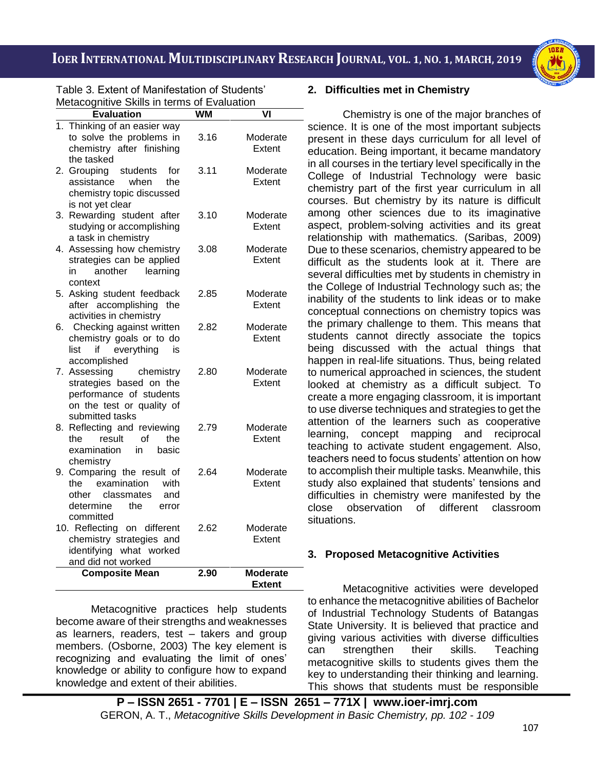i<br>I



Table 3. Extent of Manifestation of Students' Metacognitive Skills in terms of Evaluation

| Metacognitive Skills in terms of Evaluation                                                                                      | <b>WM</b> |                                  |
|----------------------------------------------------------------------------------------------------------------------------------|-----------|----------------------------------|
| <b>Evaluation</b>                                                                                                                |           | V١                               |
| Thinking of an easier way<br>1.<br>to solve the problems in<br>chemistry after finishing<br>the tasked                           | 3.16      | Moderate<br>Extent               |
| students<br>2. Grouping<br>for<br>when<br>assistance<br>the<br>chemistry topic discussed<br>is not yet clear                     | 3.11      | Moderate<br>Extent               |
| Rewarding student after<br>3.<br>studying or accomplishing<br>a task in chemistry                                                | 3.10      | Moderate<br>Extent               |
| Assessing how chemistry<br>4.<br>strategies can be applied<br>another<br>learning<br>in<br>context                               | 3.08      | Moderate<br>Extent               |
| 5. Asking student feedback<br>after accomplishing the<br>activities in chemistry                                                 | 2.85      | Moderate<br>Extent               |
| Checking against written<br>6.<br>chemistry goals or to do<br>everything<br>list<br>if<br>is<br>accomplished                     | 2.82      | Moderate<br>Extent               |
| 7. Assessing<br>chemistry<br>strategies based on the<br>performance of students<br>on the test or quality of<br>submitted tasks  | 2.80      | Moderate<br>Extent               |
| Reflecting and reviewing<br>8.<br>of<br>result<br>the<br>the<br>examination<br>in<br>basic<br>chemistry                          | 2.79      | Moderate<br>Extent               |
| 9. Comparing the result of<br>examination<br>the<br>with<br>classmates<br>other<br>and<br>determine<br>the<br>error<br>committed | 2.64      | Moderate<br>Extent               |
| 10. Reflecting on different<br>chemistry strategies and<br>identifying what worked<br>and did not worked                         | 2.62      | Moderate<br>Extent               |
| <b>Composite Mean</b>                                                                                                            | 2.90      | <b>Moderate</b><br><b>Extent</b> |

Metacognitive practices help students become aware of their strengths and weaknesses as learners, readers, test – takers and group members. (Osborne, 2003) The key element is recognizing and evaluating the limit of ones' knowledge or ability to configure how to expand knowledge and extent of their abilities.

## **2. Difficulties met in Chemistry**

Chemistry is one of the major branches of science. It is one of the most important subjects present in these days curriculum for all level of education. Being important, it became mandatory in all courses in the tertiary level specifically in the College of Industrial Technology were basic chemistry part of the first year curriculum in all courses. But chemistry by its nature is difficult among other sciences due to its imaginative aspect, problem-solving activities and its great relationship with mathematics. (Saribas, 2009) Due to these scenarios, chemistry appeared to be difficult as the students look at it. There are several difficulties met by students in chemistry in the College of Industrial Technology such as; the inability of the students to link ideas or to make conceptual connections on chemistry topics was the primary challenge to them. This means that students cannot directly associate the topics being discussed with the actual things that happen in real-life situations. Thus, being related to numerical approached in sciences, the student looked at chemistry as a difficult subject. To create a more engaging classroom, it is important to use diverse techniques and strategies to get the attention of the learners such as cooperative learning, concept mapping and reciprocal teaching to activate student engagement. Also, teachers need to focus students' attention on how to accomplish their multiple tasks. Meanwhile, this study also explained that students' tensions and difficulties in chemistry were manifested by the close observation of different classroom situations.

## **3. Proposed Metacognitive Activities**

Metacognitive activities were developed to enhance the metacognitive abilities of Bachelor of Industrial Technology Students of Batangas State University. It is believed that practice and giving various activities with diverse difficulties can strengthen their skills. Teaching metacognitive skills to students gives them the key to understanding their thinking and learning. This shows that students must be responsible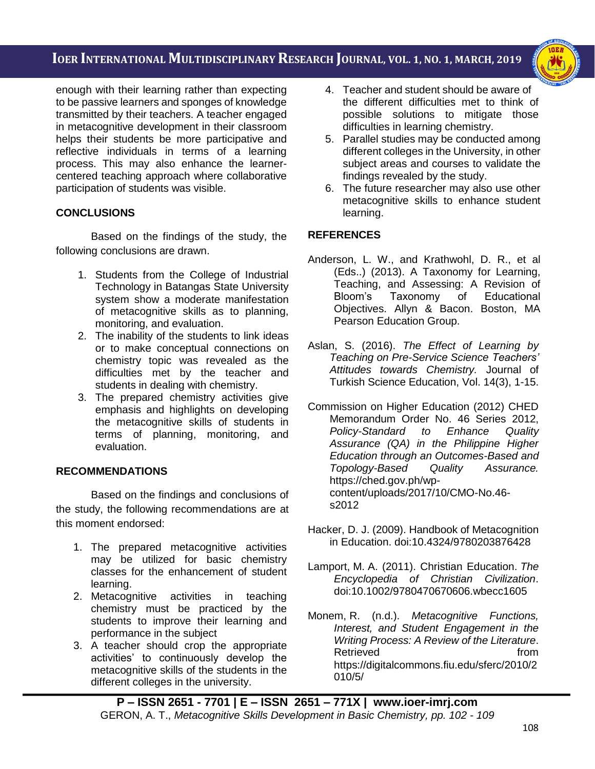i<br>I



enough with their learning rather than expecting to be passive learners and sponges of knowledge transmitted by their teachers. A teacher engaged in metacognitive development in their classroom helps their students be more participative and reflective individuals in terms of a learning process. This may also enhance the learnercentered teaching approach where collaborative participation of students was visible.

# **CONCLUSIONS**

Based on the findings of the study, the following conclusions are drawn.

- 1. Students from the College of Industrial Technology in Batangas State University system show a moderate manifestation of metacognitive skills as to planning, monitoring, and evaluation.
- 2. The inability of the students to link ideas or to make conceptual connections on chemistry topic was revealed as the difficulties met by the teacher and students in dealing with chemistry.
- 3. The prepared chemistry activities give emphasis and highlights on developing the metacognitive skills of students in terms of planning, monitoring, and evaluation.

# **RECOMMENDATIONS**

Based on the findings and conclusions of the study, the following recommendations are at this moment endorsed:

- 1. The prepared metacognitive activities may be utilized for basic chemistry classes for the enhancement of student learning.
- 2. Metacognitive activities in teaching chemistry must be practiced by the students to improve their learning and performance in the subject
- 3. A teacher should crop the appropriate activities' to continuously develop the metacognitive skills of the students in the different colleges in the university.
- 4. Teacher and student should be aware of the different difficulties met to think of possible solutions to mitigate those difficulties in learning chemistry.
- 5. Parallel studies may be conducted among different colleges in the University, in other subject areas and courses to validate the findings revealed by the study.
- 6. The future researcher may also use other metacognitive skills to enhance student learning.

# **REFERENCES**

- Anderson, L. W., and Krathwohl, D. R., et al (Eds..) (2013). A Taxonomy for Learning, Teaching, and Assessing: A Revision of Bloom's Taxonomy of Educational Objectives. Allyn & Bacon. Boston, MA Pearson Education Group.
- Aslan, S. (2016). *The Effect of Learning by Teaching on Pre-Service Science Teachers' Attitudes towards Chemistry.* Journal of Turkish Science Education, Vol. 14(3), 1-15.
- Commission on Higher Education (2012) CHED Memorandum Order No. 46 Series 2012, *Policy-Standard to Enhance Quality Assurance (QA) in the Philippine Higher Education through an Outcomes-Based and Topology-Based Quality Assurance.* [https://ched.gov.ph/wp](https://ched.gov.ph/wp-content/uploads/2017/10/CMO-No.46-s2012)[content/uploads/2017/10/CMO-No.46](https://ched.gov.ph/wp-content/uploads/2017/10/CMO-No.46-s2012) [s2012](https://ched.gov.ph/wp-content/uploads/2017/10/CMO-No.46-s2012)
- Hacker, D. J. (2009). Handbook of Metacognition in Education. doi:10.4324/9780203876428
- Lamport, M. A. (2011). Christian Education. *The Encyclopedia of Christian Civilization*. doi:10.1002/9780470670606.wbecc1605
- Monem, R. (n.d.). *Metacognitive Functions, Interest, and Student Engagement in the Writing Process: A Review of the Literature*. Retrieved from the from https://digitalcommons.fiu.edu/sferc/2010/2 010/5/